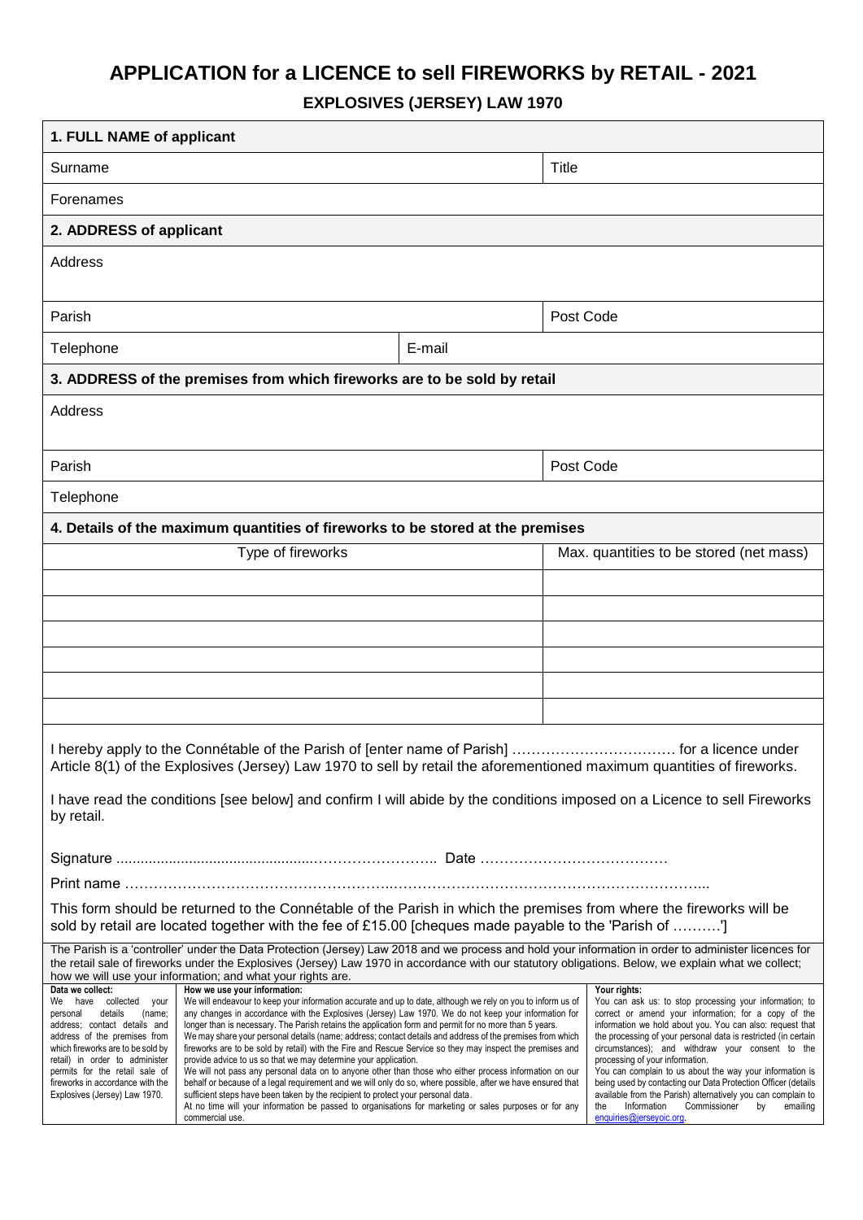# **APPLICATION for a LICENCE to sell FIREWORKS by RETAIL - 2021**

**EXPLOSIVES (JERSEY) LAW 1970**

| 1. FULL NAME of applicant                                                                                                                                                                                                                                                                                                                                                                                                                                                                                                                                                                                                                                                                                                                                                                                                                                                                                                                                                                                                                                                                                                                                   |                                                                                                                                                                                                               |                                                                                                                                                                                                                                                                                                                                                                                                                                                                    |                                                                                                                                                  |  |  |  |
|-------------------------------------------------------------------------------------------------------------------------------------------------------------------------------------------------------------------------------------------------------------------------------------------------------------------------------------------------------------------------------------------------------------------------------------------------------------------------------------------------------------------------------------------------------------------------------------------------------------------------------------------------------------------------------------------------------------------------------------------------------------------------------------------------------------------------------------------------------------------------------------------------------------------------------------------------------------------------------------------------------------------------------------------------------------------------------------------------------------------------------------------------------------|---------------------------------------------------------------------------------------------------------------------------------------------------------------------------------------------------------------|--------------------------------------------------------------------------------------------------------------------------------------------------------------------------------------------------------------------------------------------------------------------------------------------------------------------------------------------------------------------------------------------------------------------------------------------------------------------|--------------------------------------------------------------------------------------------------------------------------------------------------|--|--|--|
| Surname                                                                                                                                                                                                                                                                                                                                                                                                                                                                                                                                                                                                                                                                                                                                                                                                                                                                                                                                                                                                                                                                                                                                                     |                                                                                                                                                                                                               | Title                                                                                                                                                                                                                                                                                                                                                                                                                                                              |                                                                                                                                                  |  |  |  |
| Forenames                                                                                                                                                                                                                                                                                                                                                                                                                                                                                                                                                                                                                                                                                                                                                                                                                                                                                                                                                                                                                                                                                                                                                   |                                                                                                                                                                                                               |                                                                                                                                                                                                                                                                                                                                                                                                                                                                    |                                                                                                                                                  |  |  |  |
| 2. ADDRESS of applicant                                                                                                                                                                                                                                                                                                                                                                                                                                                                                                                                                                                                                                                                                                                                                                                                                                                                                                                                                                                                                                                                                                                                     |                                                                                                                                                                                                               |                                                                                                                                                                                                                                                                                                                                                                                                                                                                    |                                                                                                                                                  |  |  |  |
| Address                                                                                                                                                                                                                                                                                                                                                                                                                                                                                                                                                                                                                                                                                                                                                                                                                                                                                                                                                                                                                                                                                                                                                     |                                                                                                                                                                                                               |                                                                                                                                                                                                                                                                                                                                                                                                                                                                    |                                                                                                                                                  |  |  |  |
| Parish                                                                                                                                                                                                                                                                                                                                                                                                                                                                                                                                                                                                                                                                                                                                                                                                                                                                                                                                                                                                                                                                                                                                                      |                                                                                                                                                                                                               |                                                                                                                                                                                                                                                                                                                                                                                                                                                                    | Post Code                                                                                                                                        |  |  |  |
| Telephone<br>E-mail                                                                                                                                                                                                                                                                                                                                                                                                                                                                                                                                                                                                                                                                                                                                                                                                                                                                                                                                                                                                                                                                                                                                         |                                                                                                                                                                                                               |                                                                                                                                                                                                                                                                                                                                                                                                                                                                    |                                                                                                                                                  |  |  |  |
| 3. ADDRESS of the premises from which fireworks are to be sold by retail                                                                                                                                                                                                                                                                                                                                                                                                                                                                                                                                                                                                                                                                                                                                                                                                                                                                                                                                                                                                                                                                                    |                                                                                                                                                                                                               |                                                                                                                                                                                                                                                                                                                                                                                                                                                                    |                                                                                                                                                  |  |  |  |
| Address                                                                                                                                                                                                                                                                                                                                                                                                                                                                                                                                                                                                                                                                                                                                                                                                                                                                                                                                                                                                                                                                                                                                                     |                                                                                                                                                                                                               |                                                                                                                                                                                                                                                                                                                                                                                                                                                                    |                                                                                                                                                  |  |  |  |
| Parish                                                                                                                                                                                                                                                                                                                                                                                                                                                                                                                                                                                                                                                                                                                                                                                                                                                                                                                                                                                                                                                                                                                                                      |                                                                                                                                                                                                               | Post Code                                                                                                                                                                                                                                                                                                                                                                                                                                                          |                                                                                                                                                  |  |  |  |
| Telephone                                                                                                                                                                                                                                                                                                                                                                                                                                                                                                                                                                                                                                                                                                                                                                                                                                                                                                                                                                                                                                                                                                                                                   |                                                                                                                                                                                                               |                                                                                                                                                                                                                                                                                                                                                                                                                                                                    |                                                                                                                                                  |  |  |  |
| 4. Details of the maximum quantities of fireworks to be stored at the premises                                                                                                                                                                                                                                                                                                                                                                                                                                                                                                                                                                                                                                                                                                                                                                                                                                                                                                                                                                                                                                                                              |                                                                                                                                                                                                               |                                                                                                                                                                                                                                                                                                                                                                                                                                                                    |                                                                                                                                                  |  |  |  |
| Type of fireworks                                                                                                                                                                                                                                                                                                                                                                                                                                                                                                                                                                                                                                                                                                                                                                                                                                                                                                                                                                                                                                                                                                                                           |                                                                                                                                                                                                               |                                                                                                                                                                                                                                                                                                                                                                                                                                                                    | Max. quantities to be stored (net mass)                                                                                                          |  |  |  |
|                                                                                                                                                                                                                                                                                                                                                                                                                                                                                                                                                                                                                                                                                                                                                                                                                                                                                                                                                                                                                                                                                                                                                             |                                                                                                                                                                                                               |                                                                                                                                                                                                                                                                                                                                                                                                                                                                    |                                                                                                                                                  |  |  |  |
|                                                                                                                                                                                                                                                                                                                                                                                                                                                                                                                                                                                                                                                                                                                                                                                                                                                                                                                                                                                                                                                                                                                                                             |                                                                                                                                                                                                               |                                                                                                                                                                                                                                                                                                                                                                                                                                                                    |                                                                                                                                                  |  |  |  |
|                                                                                                                                                                                                                                                                                                                                                                                                                                                                                                                                                                                                                                                                                                                                                                                                                                                                                                                                                                                                                                                                                                                                                             |                                                                                                                                                                                                               |                                                                                                                                                                                                                                                                                                                                                                                                                                                                    |                                                                                                                                                  |  |  |  |
|                                                                                                                                                                                                                                                                                                                                                                                                                                                                                                                                                                                                                                                                                                                                                                                                                                                                                                                                                                                                                                                                                                                                                             |                                                                                                                                                                                                               |                                                                                                                                                                                                                                                                                                                                                                                                                                                                    |                                                                                                                                                  |  |  |  |
|                                                                                                                                                                                                                                                                                                                                                                                                                                                                                                                                                                                                                                                                                                                                                                                                                                                                                                                                                                                                                                                                                                                                                             |                                                                                                                                                                                                               |                                                                                                                                                                                                                                                                                                                                                                                                                                                                    |                                                                                                                                                  |  |  |  |
| I hereby apply to the Connétable of the Parish of [enter name of Parish].<br>for a licence under<br>Article 8(1) of the Explosives (Jersey) Law 1970 to sell by retail the aforementioned maximum quantities of fireworks.                                                                                                                                                                                                                                                                                                                                                                                                                                                                                                                                                                                                                                                                                                                                                                                                                                                                                                                                  |                                                                                                                                                                                                               |                                                                                                                                                                                                                                                                                                                                                                                                                                                                    |                                                                                                                                                  |  |  |  |
| I have read the conditions [see below] and confirm I will abide by the conditions imposed on a Licence to sell Fireworks<br>by retail.                                                                                                                                                                                                                                                                                                                                                                                                                                                                                                                                                                                                                                                                                                                                                                                                                                                                                                                                                                                                                      |                                                                                                                                                                                                               |                                                                                                                                                                                                                                                                                                                                                                                                                                                                    |                                                                                                                                                  |  |  |  |
|                                                                                                                                                                                                                                                                                                                                                                                                                                                                                                                                                                                                                                                                                                                                                                                                                                                                                                                                                                                                                                                                                                                                                             |                                                                                                                                                                                                               |                                                                                                                                                                                                                                                                                                                                                                                                                                                                    |                                                                                                                                                  |  |  |  |
|                                                                                                                                                                                                                                                                                                                                                                                                                                                                                                                                                                                                                                                                                                                                                                                                                                                                                                                                                                                                                                                                                                                                                             | Print name ……………………………………………………………………                                                                                                                                                                         |                                                                                                                                                                                                                                                                                                                                                                                                                                                                    |                                                                                                                                                  |  |  |  |
| This form should be returned to the Connétable of the Parish in which the premises from where the fireworks will be<br>sold by retail are located together with the fee of £15.00 [cheques made payable to the 'Parish of ']                                                                                                                                                                                                                                                                                                                                                                                                                                                                                                                                                                                                                                                                                                                                                                                                                                                                                                                                |                                                                                                                                                                                                               |                                                                                                                                                                                                                                                                                                                                                                                                                                                                    |                                                                                                                                                  |  |  |  |
| The Parish is a 'controller' under the Data Protection (Jersey) Law 2018 and we process and hold your information in order to administer licences for<br>the retail sale of fireworks under the Explosives (Jersey) Law 1970 in accordance with our statutory obligations. Below, we explain what we collect;<br>how we will use your information; and what your rights are.<br>Data we collect:<br>Your rights:                                                                                                                                                                                                                                                                                                                                                                                                                                                                                                                                                                                                                                                                                                                                            |                                                                                                                                                                                                               |                                                                                                                                                                                                                                                                                                                                                                                                                                                                    |                                                                                                                                                  |  |  |  |
| How we use your information:<br>We will endeavour to keep your information accurate and up to date, although we rely on you to inform us of<br>We have collected your<br>details<br>any changes in accordance with the Explosives (Jersey) Law 1970. We do not keep your information for<br>(name;<br>personal<br>address; contact details and<br>longer than is necessary. The Parish retains the application form and permit for no more than 5 years.<br>We may share your personal details (name; address; contact details and address of the premises from which<br>address of the premises from<br>which fireworks are to be sold by<br>fireworks are to be sold by retail) with the Fire and Rescue Service so they may inspect the premises and<br>provide advice to us so that we may determine your application.<br>retail) in order to administer<br>permits for the retail sale of<br>We will not pass any personal data on to anyone other than those who either process information on our<br>fireworks in accordance with the<br>behalf or because of a legal requirement and we will only do so, where possible, after we have ensured that |                                                                                                                                                                                                               | You can ask us: to stop processing your information; to<br>correct or amend your information; for a copy of the<br>information we hold about you. You can also: request that<br>the processing of your personal data is restricted (in certain<br>circumstances); and withdraw your consent to the<br>processing of your information.<br>You can complain to us about the way your information is<br>being used by contacting our Data Protection Officer (details |                                                                                                                                                  |  |  |  |
| Explosives (Jersey) Law 1970.                                                                                                                                                                                                                                                                                                                                                                                                                                                                                                                                                                                                                                                                                                                                                                                                                                                                                                                                                                                                                                                                                                                               | sufficient steps have been taken by the recipient to protect your personal data.<br>At no time will your information be passed to organisations for marketing or sales purposes or for any<br>commercial use. |                                                                                                                                                                                                                                                                                                                                                                                                                                                                    | available from the Parish) alternatively you can complain to<br>Information<br>Commissioner<br>the<br>by<br>emailing<br>enquiries@jerseyoic.org. |  |  |  |